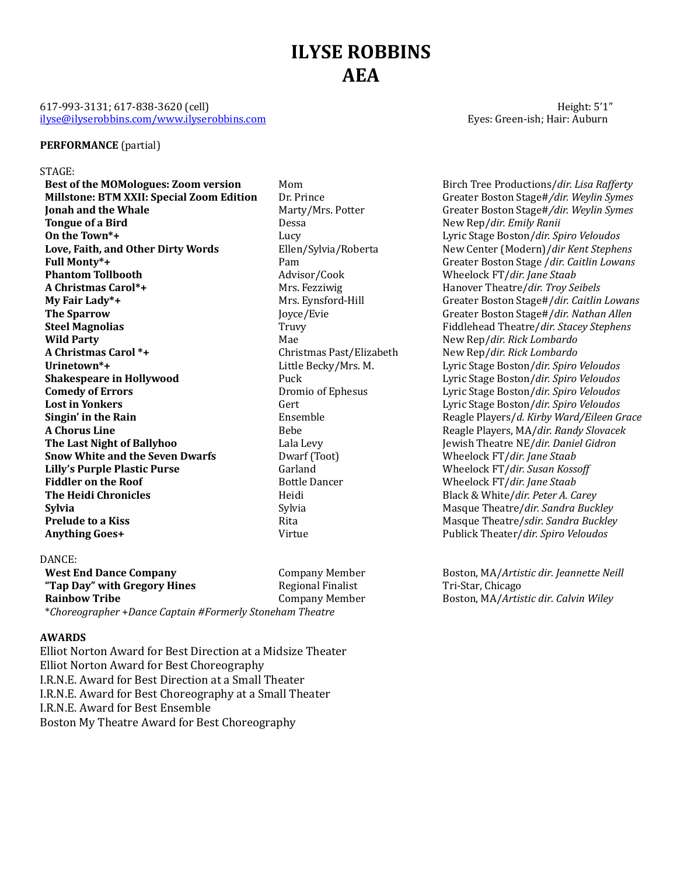# **ILYSE ROBBINS AEA**

### 617-993-3131; 617-838-3620 (cell) **Height:** 5'1" ilyse@ilyserobbins.com/www.ilyserobbins.com entitled by the extension of the Eyes: Green-ish; Hair: Auburn

## **PERFORMANCE** (partial)

#### STAGE:

**Millstone: BTM XXII: Special Zoom Edition** Dr. Prince Greater Boston Stage#/dir. Weylin Symes **Ionah and the Whale** Marty/Mrs. Potter Greater Boston Stage#*/dir. Weylin Symes* **Tongue of a Bird Dessa** Dessa New Rep/*dir. Emily Ranii* **On the Town\*+ Lucy** Lucy **Lucy Lucy Lyric Stage Boston/***dir. Spiro Veloudos* Love, Faith, and Other Dirty Words Ellen/Sylvia/Roberta New Center (Modern)/*dir Kent Stephens* **Full Monty\*+ Pam** Pam Greater Boston Stage /*dir. Caitlin Lowans* Creater Boston Stage /*dir. Caitlin Lowans* **Phantom Tollbooth Advisor/Cook** Wheelock FT/*dir. Jane Staab Advisor/Cook* Wheelock FT/*dir. Jane Staab* **A Christmas Carol\*+** Mrs. Fezziwig Hanover Theatre/*dir. Troy Seibels* **My Fair Lady\*+** Mrs. Express Hill Greater Boston Stage#/*dir. Caitlin Lowans* Greater Boston Stage#/*dir. Caitlin Lowans* **The Sparrow Joyce/Evie** Greater Boston Stage#/*dir.* Nathan Allen **Steel Magnolias** Truvy Truvy Fiddlehead Theatre/*dir.* Stacey Stephens **Wild Party Mae** Mae New Rep/*dir. Rick Lombardo Mae* New Rep/*dir. Rick Lombardo* **A Christmas Carol \*+** Christmas Past/Elizabeth New Rep/*dir. Rick Lombardo* Urinetown<sup>\*+</sup> The secky/Mrs. M. The Lyric Stage Boston/*dir. Spiro Veloudos* Lyric Stage Boston/*dir. Spiro Veloudos* **Shakespeare in Hollywood Puck** Puck **Lyric Stage Boston/***dir. Spiro Veloudos* **Comedy of Errors Comedy of Errors Comedy of Exercise Exercise 2 Comedy of Errors Comedy of Errors Dromio of Ephesus** Lyric Stage Boston/*dir. Spiro Veloudos* **Lost in Yonkers** Sert Gert Lyric Stage Boston/*dir. Spiro Veloudos* Gert Lyric Stage Boston/*dir. Spiro Veloudos* **Singin' in the Rain** Ensemble Ensemble Reagle Players/*d. Kirby Ward/Eileen Grace* **A Chorus Line Bebe** Bebe Reagle Players, MA/*dir. Randy Slovacek* Bebe **The Last Night of Ballyhoo** Lala Levy Jewish Theatre NE/*dir. Daniel Gidron* **Snow White and the Seven Dwarfs** Dwarf (Toot) Wheelock FT/*dir. Jane Staab* **Lilly's Purple Plastic Purse** Garland Garland Wheelock FT/*dir. Susan Kossoff* **Fiddler on the Roof** Bottle Dancer Bottle Dancer Wheelock FT/*dir. Jane Staab* **The Heidi Chronicles Heidi** Black & White/*dir. Peter A. Carey* **Sylvia** Sylvia Masque Theatre/*dir.* Sandra Buckley Sylvia Sylvia Masque Theatre/*dir. Sandra Buckley* **Prelude to a Kiss Rita** Rita Masque Theatre/*sdir.* Sandra Buckley **Rita** Masque Theatre/*sdir.* Sandra Buckley **Anything Goes+** The Constanting Publick Theater */dir. Spiro Veloudos* Publick Theater */dir. Spiro Veloudos* 

#### DANCE:

**West End Dance Company** Company Member Boston, MA/*Artistic dir. Jeannette Neill* **"Tap Day" with Gregory Hines** Regional Finalist Tri-Star, Chicago Rainbow Tribe **Company Member** Boston, MA/*Artistic dir. Calvin Wiley* Company Member \**Choreographer* +*Dance Captain #Formerly Stoneham Theatre*

#### **AWARDS**

Elliot Norton Award for Best Direction at a Midsize Theater Elliot Norton Award for Best Choreography I.R.N.E. Award for Best Direction at a Small Theater I.R.N.E. Award for Best Choreography at a Small Theater I.R.N.E. Award for Best Ensemble Boston My Theatre Award for Best Choreography

**Best of the MOMologues: Zoom version** Mom Mom Birch Tree Productions/*dir. Lisa Rafferty*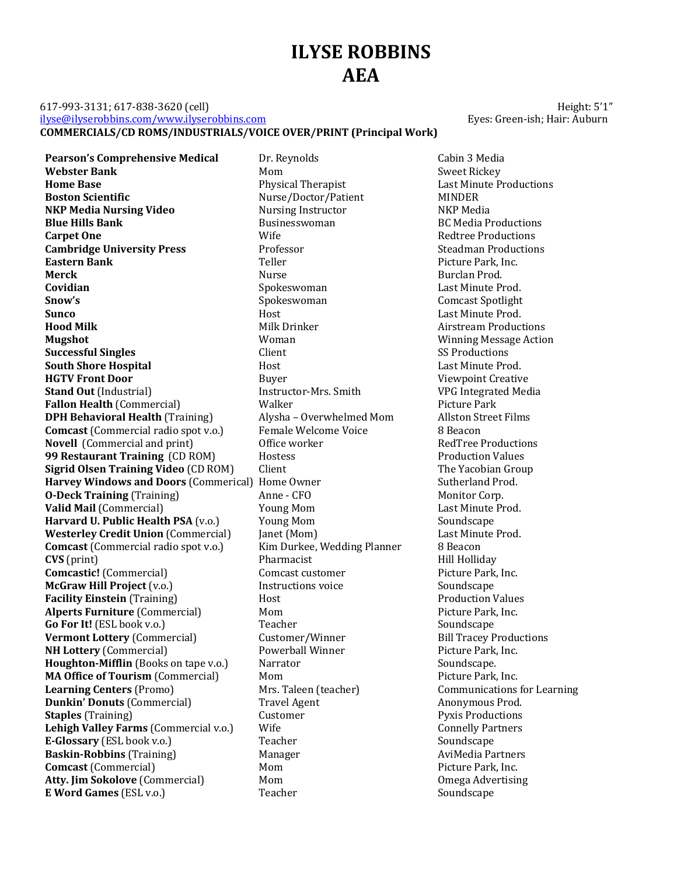## **ILYSE ROBBINS AEA**

### 617-993-3131; 617-838-3620 (cell) **Example 20** 12-993-3131; 617-838-3620 (cell) ilyse@ilyserobbins.com/www.ilyserobbins.com exercises and the exercise of the Eyes: Green-ish; Hair: Auburn **COMMERCIALS/CD ROMS/INDUSTRIALS/VOICE OVER/PRINT (Principal Work)**

**Pearson's Comprehensive Medical** Dr. Reynolds Cabin 3 Media **Webster Bank** Mom Mom Mom Sweet Rickey **Home Base** Therapist Research Physical Therapist Last Minute Productions **Boston Scientific** The Nurse/Doctor/Patient MINDER **NKP Media Nursing Video** Nursing Instructor NKP Media **Blue Hills Bank** Businesswoman Businesswoman BC Media Productions **Carpet One Carpet One Carpet One Mission Wife Carpet One Redtree** Productions **Cambridge University Press** Professor Professor Steadman Productions **Eastern Bank Eastern Bank Picture Park, Inc. Picture Park, Inc. Picture Park, Inc. Merck Nurse** Burclan Prod. **Covidian** Covidian Covidian Covidian Spokeswoman Superintegrad. East Minute Prod. **Snow's** Spokeswoman Comcast Spotlight **Sunco Example 2 Host Host Host Last Minute Prod. Hood Milk** Milk Drinker **Milk Drinker** Airstream Productions **Mugshot** Maximum Moman Woman Mugshot Winning Message Action **Successful Singles** Client Client SS Productions **South Shore Hospital The Contract Last Minute Prod.** And Host Last Minute Prod. **HGTV Front Door Buyer** Buyer **Viewpoint Creative Stand Out** (Industrial) Instructor-Mrs. Smith VPG Integrated Media **Fallon Health** (Commercial) Walker Walker Picture Park **DPH Behavioral Health** (Training) Alysha – Overwhelmed Mom Allston Street Films<br> **Comcast** (Commercial radio spot v.o.) Female Welcome Voice 8 Beacon **Comcast** (Commercial radio spot v.o.) Female Welcome Voice 8 Beacon **Novell** (Commercial and print) **Office** worker **RedTree** Productions **99 Restaurant Training** (CD ROM) Hostess **Production Values** Production Values **Sigrid Olsen Training Video** (CD ROM) Client The Vacobian Group **Harvey Windows and Doors** (Commerical) Home Owner Sutherland Prod. **O-Deck Training** (Training) Anne - CFO Monitor Corp. Valid Mail (Commercial) **We are all Accord Voung Mom** Mom Last Minute Prod. **Harvard U. Public Health PSA** (v.o.) Young Mom Soundscape Soundscape **Westerley Credit Union** (Commercial) Janet (Mom) Last Minute Prod.<br> **Comcast** (Commercial radio spot v.o.) Kim Durkee, Wedding Planner 8 Beacon **Comcast** (Commercial radio spot v.o.) Kim Durkee, Wedding Planner 8 Beacon **CVS** (print) **Pharmacist** Pharmacist Hill Holliday **Comcastic!** (Commercial) Comcast customer Picture Park, Inc. **McGraw Hill Project** (v.o.) The Instructions voice Soundscape Soundscape **Facility Einstein** (Training) **Host** Host **Production** Values **Alperts Furniture** (Commercial) Mom Mom Picture Park, Inc. **Go For It!** (ESL book v.o.) Teacher Soundscape Soundscape **Vermont Lottery** (Commercial) Customer/Winner Bill Tracey Productions **NH Lottery** (Commercial) The Powerball Winner Picture Park, Inc. **Houghton-Mifflin** (Books on tape v.o.) Narrator Soundscape. **MA Office of Tourism** (Commercial) Mom Mom Picture Park, Inc. **Learning Centers** (Promo) Mrs. Taleen (teacher) Communications for Learning **Dunkin' Donuts** (Commercial) Travel Agent Anonymous Prod. **Staples** (Training) **Customer** Customer Pyxis Productions **Lehigh Valley Farms** (Commercial v.o.) Wife Connelly Partners Connelly Partners **E-Glossary** (ESL book v.o.) Teacher Soundscape Soundscape **Baskin-Robbins** (Training) Manager Manager AviMedia Partners **Comcast** (Commercial) **Mom** Mom Picture Park, Inc. **Atty. Jim Sokolove** (Commercial) Mom Mom **Omega** Advertising **E** Word Games (ESL v.o.) Teacher Soundscape Soundscape